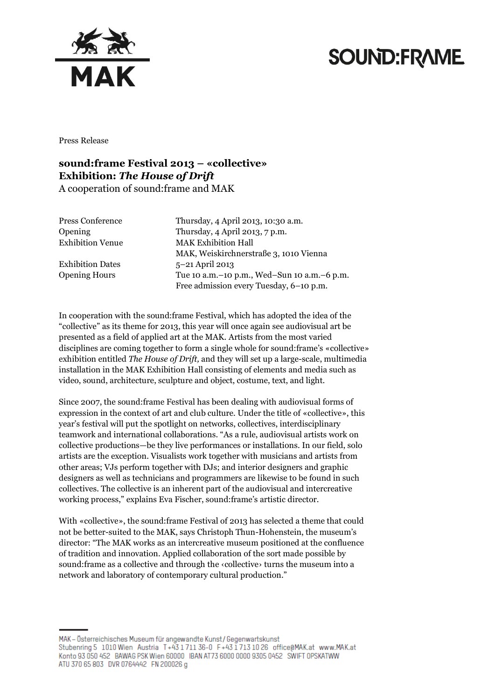

### **SOUND:FRAME**

Press Release

#### **sound:frame Festival 2013 – «collective» Exhibition:** *The House of Drift* A cooperation of sound:frame and MAK

Exhibition Dates 5-21 April 2013

Press Conference Thursday, 4 April 2013, 10:30 a.m. Opening Thursday, 4 April 2013, 7 p.m. Exhibition Venue MAK Exhibition Hall MAK, Weiskirchnerstraße 3, 1010 Vienna Opening Hours Tue 10 a.m.–10 p.m., Wed–Sun 10 a.m.–6 p.m. Free admission every Tuesday, 6–10 p.m.

In cooperation with the sound:frame Festival, which has adopted the idea of the "collective" as its theme for 2013, this year will once again see audiovisual art be presented as a field of applied art at the MAK. Artists from the most varied disciplines are coming together to form a single whole for sound:frame's «collective» exhibition entitled *The House of Drift,* and they will set up a large-scale, multimedia installation in the MAK Exhibition Hall consisting of elements and media such as video, sound, architecture, sculpture and object, costume, text, and light.

Since 2007, the sound:frame Festival has been dealing with audiovisual forms of expression in the context of art and club culture. Under the title of «collective», this year's festival will put the spotlight on networks, collectives, interdisciplinary teamwork and international collaborations. "As a rule, audiovisual artists work on collective productions—be they live performances or installations. In our field, solo artists are the exception. Visualists work together with musicians and artists from other areas; VJs perform together with DJs; and interior designers and graphic designers as well as technicians and programmers are likewise to be found in such collectives. The collective is an inherent part of the audiovisual and intercreative working process," explains Eva Fischer, sound:frame's artistic director.

With «collective», the sound:frame Festival of 2013 has selected a theme that could not be better-suited to the MAK, says Christoph Thun-Hohenstein, the museum's director: "The MAK works as an intercreative museum positioned at the confluence of tradition and innovation. Applied collaboration of the sort made possible by sound:frame as a collective and through the ‹collective› turns the museum into a network and laboratory of contemporary cultural production."

MAK – Österreichisches Museum für angewandte Kunst/Gegenwartskunst Stubenring 5 1010 Wien Austria T+43 1711 36-0 F+43 1713 10 26 office@MAK.at www.MAK.at Konto 93 050 452 BAWAG PSK Wien 60000 IBAN AT73 6000 0000 9305 0452 SWIFT OPSKATWW ATU 370 65 803 DVR 0764442 FN 200026 g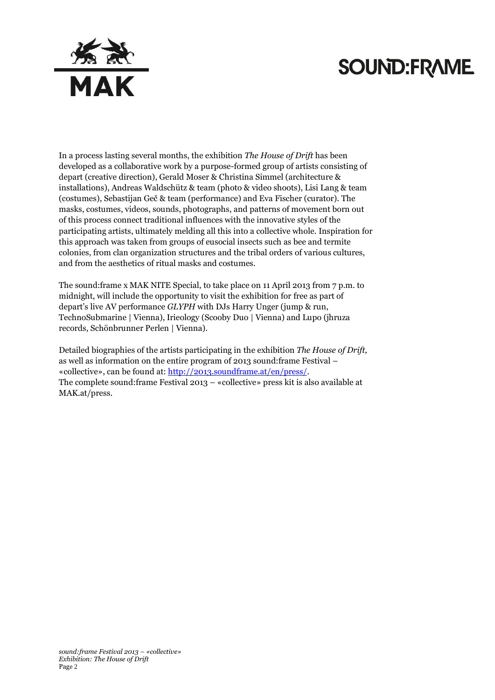# **SOUND:FRAME**



In a process lasting several months, the exhibition *The House of Drift* has been developed as a collaborative work by a purpose-formed group of artists consisting of depart (creative direction), Gerald Moser & Christina Simmel (architecture & installations), Andreas Waldschütz & team (photo & video shoots), Lisi Lang & team (costumes), Sebastijan Geč & team (performance) and Eva Fischer (curator). The masks, costumes, videos, sounds, photographs, and patterns of movement born out of this process connect traditional influences with the innovative styles of the participating artists, ultimately melding all this into a collective whole. Inspiration for this approach was taken from groups of eusocial insects such as bee and termite colonies, from clan organization structures and the tribal orders of various cultures, and from the aesthetics of ritual masks and costumes.

The sound:frame x MAK NITE Special, to take place on 11 April 2013 from 7 p.m. to midnight, will include the opportunity to visit the exhibition for free as part of depart's live AV performance *GLYPH* with DJs Harry Unger (jump & run, TechnoSubmarine | Vienna), Irieology (Scooby Duo | Vienna) and Lupo (jhruza records, Schönbrunner Perlen | Vienna).

Detailed biographies of the artists participating in the exhibition *The House of Drift,*  as well as information on the entire program of 2013 sound:frame Festival – «collective», can be found at: [http://2013.soundframe.at/en/press/.](http://2013.soundframe.at/en/press/) The complete sound:frame Festival 2013 – «collective» press kit is also available at MAK.at/press.